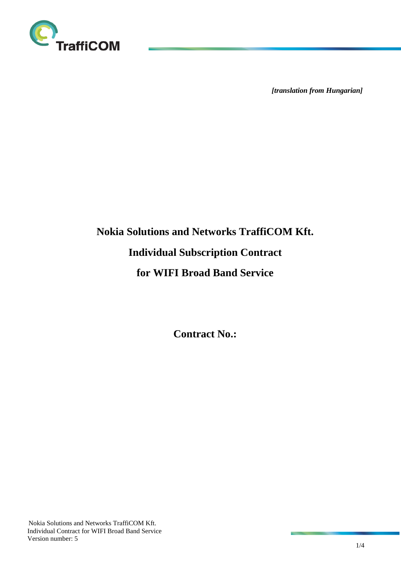

*[translation from Hungarian]*

# **Nokia Solutions and Networks TraffiCOM Kft. Individual Subscription Contract for WIFI Broad Band Service**

**Contract No.:**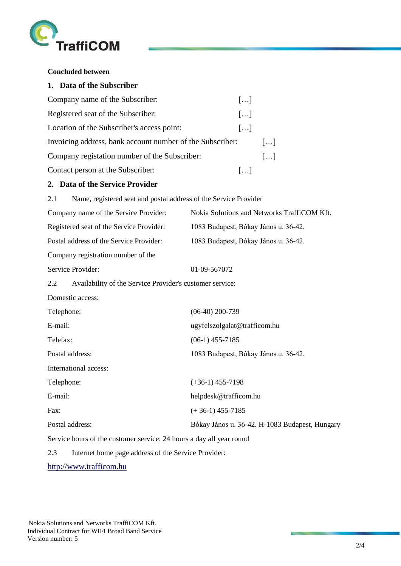

**Concluded between** 

|                                               | 1. Data of the Subscriber                                            |                                                |
|-----------------------------------------------|----------------------------------------------------------------------|------------------------------------------------|
| Company name of the Subscriber:               |                                                                      | []                                             |
| Registered seat of the Subscriber:            |                                                                      | []                                             |
| Location of the Subscriber's access point:    |                                                                      | []                                             |
|                                               | Invoicing address, bank account number of the Subscriber:            | []                                             |
| Company registation number of the Subscriber: |                                                                      | []                                             |
|                                               | Contact person at the Subscriber:                                    | []                                             |
|                                               | 2. Data of the Service Provider                                      |                                                |
| 2.1                                           | Name, registered seat and postal address of the Service Provider     |                                                |
|                                               | Company name of the Service Provider:                                | Nokia Solutions and Networks TraffiCOM Kft.    |
| Registered seat of the Service Provider:      |                                                                      | 1083 Budapest, Bókay János u. 36-42.           |
| Postal address of the Service Provider:       |                                                                      | 1083 Budapest, Bókay János u. 36-42.           |
|                                               | Company registration number of the                                   |                                                |
|                                               | Service Provider:                                                    | 01-09-567072                                   |
| 2.2                                           | Availability of the Service Provider's customer service:             |                                                |
|                                               | Domestic access:                                                     |                                                |
| Telephone:                                    |                                                                      | $(06-40)$ 200-739                              |
| E-mail:                                       |                                                                      | ugyfelszolgalat@trafficom.hu                   |
| Telefax:                                      |                                                                      | $(06-1)$ 455-7185                              |
| Postal address:                               |                                                                      | 1083 Budapest, Bókay János u. 36-42.           |
|                                               | International access:                                                |                                                |
| Telephone:                                    |                                                                      | $(+36-1)$ 455-7198                             |
| E-mail:                                       |                                                                      | helpdesk@trafficom.hu                          |
| Fax:                                          |                                                                      | $(+36-1)$ 455-7185                             |
| Postal address:                               |                                                                      | Bókay János u. 36-42. H-1083 Budapest, Hungary |
|                                               | Service hours of the customer service: 24 hours a day all year round |                                                |
| 2.3                                           | Internet home page address of the Service Provider:                  |                                                |

[http://www.trafficom.hu](http://www.trafficom.hu/)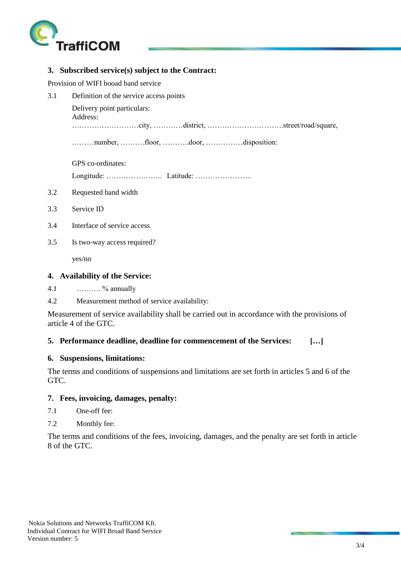

## **3. Subscribed service(s) subject to the Contract:**

Provision of WIFI booad band service

3.1 Definition of the service access points

Delivery point particulars:

```
Address:
```
………………………city, …………district, ………………………….street/road/square,

………number, ……….floor, ………..door, ……………disposition:

GPS co-ordinates:

Longitude: ………………….. Latitude: …………………..

- 3.2 Requested band width
- 3.3 Service ID
- 3.4 Interface of service access
- 3.5 Is two-way access required?

yes/no

## **4. Availability of the Service:**

4.1  $\ldots$   $\%$  annually

4.2 Measurement method of service availability:

Measurement of service availability shall be carried out in accordance with the provisions of article 4 of the GTC.

# **5. Performance deadline, deadline for commencement of the Services: […]**

# **6. Suspensions, limitations:**

The terms and conditions of suspensions and limitations are set forth in articles 5 and 6 of the GTC.

# **7. Fees, invoicing, damages, penalty:**

- 7.1 One-off fee:
- 7.2 Monthly fee:

The terms and conditions of the fees, invoicing, damages, and the penalty are set forth in article 8 of the GTC.